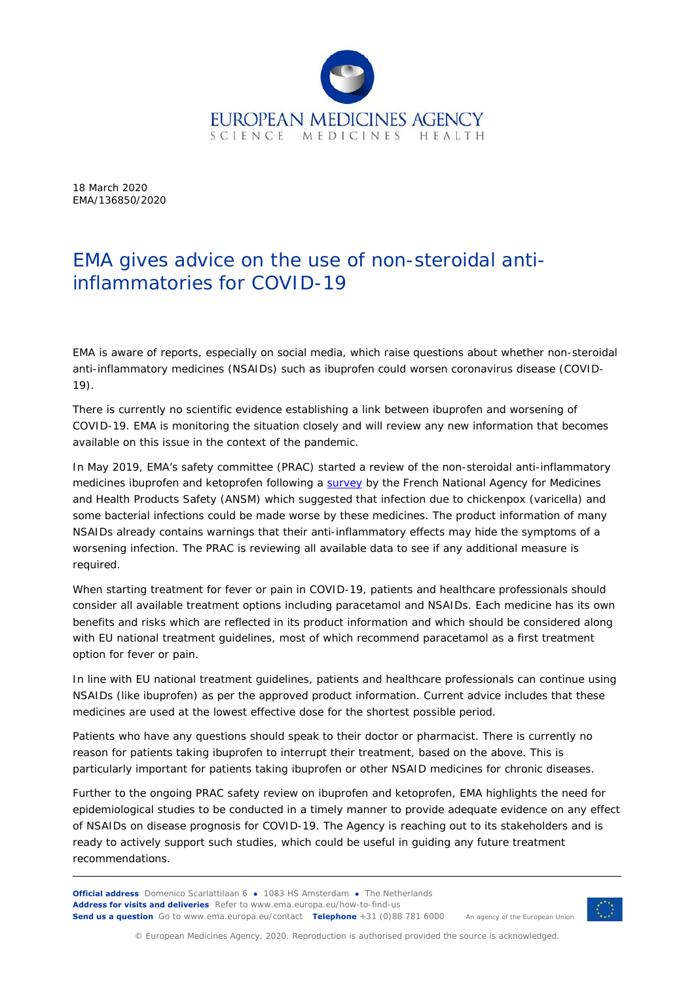

18 March 2020 EMA/136850/2020

## EMA gives advice on the use of non-steroidal antiinflammatories for COVID-19

EMA is aware of reports, especially on social media, which raise questions about whether non-steroidal anti-inflammatory medicines (NSAIDs) such as ibuprofen could worsen coronavirus disease (COVID-19).

There is currently no scientific evidence establishing a link between ibuprofen and worsening of COVID-19. EMA is monitoring the situation closely and will review any new information that becomes available on this issue in the context of the pandemic.

In May 2019, EMA's safety committee (PRAC) started a review of the non-steroidal anti-inflammatory medicines ibuprofen and ketoprofen following a survey by the French National Agency for Medicines and Health Products Safety (ANSM) which suggested that infection due to chickenpox (varicella) and some bacterial infections could be made worse by these medicines. The product information of many NSAIDs already contains warnings that their anti-inflammatory effects may hide the symptoms of a worsening infection. The PRAC is reviewing all available data to see if any additional measure is required.

When starting treatment for fever or pain in COVID-19, patients and healthcare professionals should consider all available treatment options including paracetamol and NSAIDs. Each medicine has its own benefits and risks which are reflected in its product information and which should be considered along with EU national treatment guidelines, most of which recommend paracetamol as a first treatment option for fever or pain.

In line with EU national treatment guidelines, patients and healthcare professionals can continue using NSAIDs (like ibuprofen) as per the approved product information. Current advice includes that these medicines are used at the lowest effective dose for the shortest possible period.

Patients who have any questions should speak to their doctor or pharmacist. There is currently no reason for patients taking ibuprofen to interrupt their treatment, based on the above. This is particularly important for patients taking ibuprofen or other NSAID medicines for chronic diseases.

Further to the ongoing PRAC safety review on ibuprofen and ketoprofen, EMA highlights the need for epidemiological studies to be conducted in a timely manner to provide adequate evidence on any effect of NSAIDs on disease prognosis for COVID-19. The Agency is reaching out to its stakeholders and is ready to actively support such studies, which could be useful in guiding any future treatment recommendations.

**Official address** Domenico Scarlattilaan 6 **●** 1083 HS Amsterdam **●** The Netherlands **Address for visits and deliveries** Refer to www.ema.europa.eu/how-to-find-us **Send us a question** Go to www.ema.europa.eu/contact **Telephone** +31 (0)88 781 6000



An agency of the European Union

© European Medicines Agency, 2020. Reproduction is authorised provided the source is acknowledged.